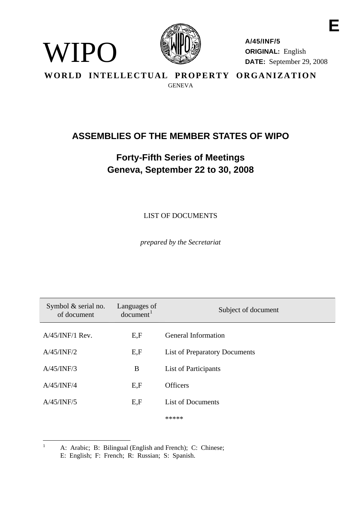

WIPO

**A/45/INF/5 ORIGINAL:** English **DATE:** September 29, 2008

**E** 

**WORLD INTELLECTUAL PROPERTY ORGANIZATION GENEVA** 

## **ASSEMBLIES OF THE MEMBER STATES OF WIPO**

# **Forty-Fifth Series of Meetings Geneva, September 22 to 30, 2008**

LIST OF DOCUMENTS

*prepared by the Secretariat* 

| Symbol $&$ serial no.<br>of document | Languages of<br>document <sup>1</sup> | Subject of document                  |
|--------------------------------------|---------------------------------------|--------------------------------------|
| $A/45/INF/1$ Rev.                    | E,F                                   | <b>General Information</b>           |
| A/45/INF/2                           | E, F                                  | <b>List of Preparatory Documents</b> |
| A/45/INF/3                           | B                                     | List of Participants                 |
| A/45/INF/4                           | E,F                                   | <b>Officers</b>                      |
| A/45/INF/5                           | E,F                                   | <b>List of Documents</b>             |
|                                      |                                       | *****                                |

<span id="page-0-0"></span> $\frac{1}{1}$  A: Arabic; B: Bilingual (English and French); C: Chinese; E: English; F: French; R: Russian; S: Spanish.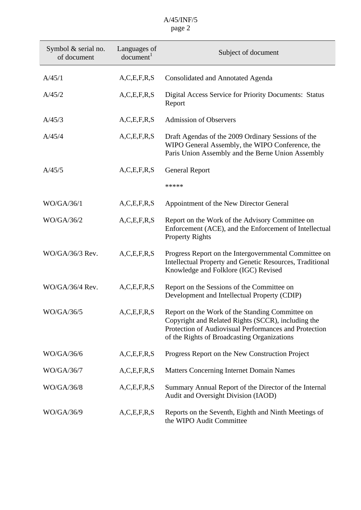| Symbol $&$ serial no.<br>of document | Languages of<br>document <sup>1</sup> | Subject of document                                                                                                                                                                                           |
|--------------------------------------|---------------------------------------|---------------------------------------------------------------------------------------------------------------------------------------------------------------------------------------------------------------|
| A/45/1                               | A, C, E, F, R, S                      | <b>Consolidated and Annotated Agenda</b>                                                                                                                                                                      |
| A/45/2                               | A, C, E, F, R, S                      | Digital Access Service for Priority Documents: Status<br>Report                                                                                                                                               |
| A/45/3                               | A, C, E, F, R, S                      | <b>Admission of Observers</b>                                                                                                                                                                                 |
| A/45/4                               | A, C, E, F, R, S                      | Draft Agendas of the 2009 Ordinary Sessions of the<br>WIPO General Assembly, the WIPO Conference, the<br>Paris Union Assembly and the Berne Union Assembly                                                    |
| A/45/5                               | A, C, E, F, R, S                      | <b>General Report</b>                                                                                                                                                                                         |
|                                      |                                       | *****                                                                                                                                                                                                         |
| WO/GA/36/1                           | A, C, E, F, R, S                      | Appointment of the New Director General                                                                                                                                                                       |
| WO/GA/36/2                           | A, C, E, F, R, S                      | Report on the Work of the Advisory Committee on<br>Enforcement (ACE), and the Enforcement of Intellectual<br><b>Property Rights</b>                                                                           |
| WO/GA/36/3 Rev.                      | A, C, E, F, R, S                      | Progress Report on the Intergovernmental Committee on<br>Intellectual Property and Genetic Resources, Traditional<br>Knowledge and Folklore (IGC) Revised                                                     |
| WO/GA/36/4 Rev.                      | A, C, E, F, R, S                      | Report on the Sessions of the Committee on<br>Development and Intellectual Property (CDIP)                                                                                                                    |
| WO/GA/36/5                           | A, C, E, F, R, S                      | Report on the Work of the Standing Committee on<br>Copyright and Related Rights (SCCR), including the<br>Protection of Audiovisual Performances and Protection<br>of the Rights of Broadcasting Organizations |
| WO/GA/36/6                           | A, C, E, F, R, S                      | Progress Report on the New Construction Project                                                                                                                                                               |
| WO/GA/36/7                           | A, C, E, F, R, S                      | <b>Matters Concerning Internet Domain Names</b>                                                                                                                                                               |
| WO/GA/36/8                           | A, C, E, F, R, S                      | Summary Annual Report of the Director of the Internal<br>Audit and Oversight Division (IAOD)                                                                                                                  |
| WO/GA/36/9                           | A, C, E, F, R, S                      | Reports on the Seventh, Eighth and Ninth Meetings of<br>the WIPO Audit Committee                                                                                                                              |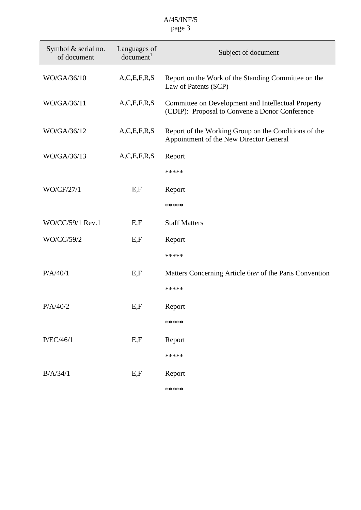| Symbol & serial no.<br>of document | Languages of<br>document <sup>1</sup> | Subject of document                                                                                  |
|------------------------------------|---------------------------------------|------------------------------------------------------------------------------------------------------|
| WO/GA/36/10                        | A, C, E, F, R, S                      | Report on the Work of the Standing Committee on the<br>Law of Patents (SCP)                          |
| WO/GA/36/11                        | A, C, E, F, R, S                      | Committee on Development and Intellectual Property<br>(CDIP): Proposal to Convene a Donor Conference |
| WO/GA/36/12                        | A, C, E, F, R, S                      | Report of the Working Group on the Conditions of the<br>Appointment of the New Director General      |
| WO/GA/36/13                        | A, C, E, F, R, S                      | Report                                                                                               |
|                                    |                                       | *****                                                                                                |
| WO/CF/27/1                         | E, F                                  | Report                                                                                               |
|                                    |                                       | *****                                                                                                |
| WO/CC/59/1 Rev.1                   | E, F                                  | <b>Staff Matters</b>                                                                                 |
| WO/CC/59/2                         | E, F                                  | Report                                                                                               |
|                                    |                                       | *****                                                                                                |
| P/A/40/1                           | E, F                                  | Matters Concerning Article 6ter of the Paris Convention                                              |
|                                    |                                       | *****                                                                                                |
| P/A/40/2                           | E, F                                  | Report                                                                                               |
|                                    |                                       | *****                                                                                                |
| P/EC/46/1                          | E, F                                  | Report                                                                                               |
|                                    |                                       | *****                                                                                                |
| B/A/34/1                           | E, F                                  | Report                                                                                               |
|                                    |                                       | *****                                                                                                |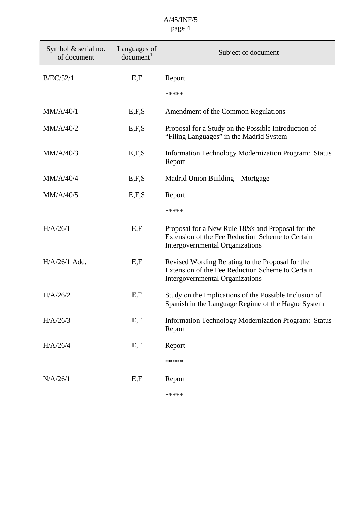| Symbol $&$ serial no.<br>of document | Languages of<br>document <sup>1</sup> | Subject of document                                                                                                                              |
|--------------------------------------|---------------------------------------|--------------------------------------------------------------------------------------------------------------------------------------------------|
| B/EC/52/1                            | E, F                                  | Report                                                                                                                                           |
|                                      |                                       | *****                                                                                                                                            |
| MM/A/40/1                            | E, F, S                               | Amendment of the Common Regulations                                                                                                              |
| MM/A/40/2                            | E, F, S                               | Proposal for a Study on the Possible Introduction of<br>"Filing Languages" in the Madrid System                                                  |
| MM/A/40/3                            | E, F, S                               | <b>Information Technology Modernization Program: Status</b><br>Report                                                                            |
| MM/A/40/4                            | E, F, S                               | Madrid Union Building – Mortgage                                                                                                                 |
| MM/A/40/5                            | E, F, S                               | Report                                                                                                                                           |
|                                      |                                       | *****                                                                                                                                            |
| H/A/26/1                             | E.F                                   | Proposal for a New Rule 18bis and Proposal for the<br>Extension of the Fee Reduction Scheme to Certain<br><b>Intergovernmental Organizations</b> |
| H/A/26/1 Add.                        | E, F                                  | Revised Wording Relating to the Proposal for the<br>Extension of the Fee Reduction Scheme to Certain<br><b>Intergovernmental Organizations</b>   |
| H/A/26/2                             | E, F                                  | Study on the Implications of the Possible Inclusion of<br>Spanish in the Language Regime of the Hague System                                     |
| H/A/26/3                             | E, F                                  | <b>Information Technology Modernization Program: Status</b><br>Report                                                                            |
| H/A/26/4                             | E, F                                  | Report                                                                                                                                           |
|                                      |                                       | *****                                                                                                                                            |
| N/A/26/1                             | E, F                                  | Report                                                                                                                                           |
|                                      |                                       | *****                                                                                                                                            |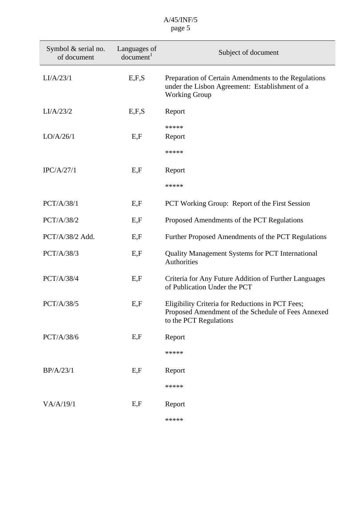| Symbol $&$ serial no.<br>of document | Languages of<br>document <sup>1</sup> | Subject of document                                                                                                              |
|--------------------------------------|---------------------------------------|----------------------------------------------------------------------------------------------------------------------------------|
| LI/A/23/1                            | E.F.S                                 | Preparation of Certain Amendments to the Regulations<br>under the Lisbon Agreement: Establishment of a<br><b>Working Group</b>   |
| LI/A/23/2                            | E, F, S                               | Report                                                                                                                           |
|                                      |                                       | *****                                                                                                                            |
| LO/A/26/1                            | E, F                                  | Report                                                                                                                           |
|                                      |                                       | *****                                                                                                                            |
| IPC/A/27/1                           | E, F                                  | Report                                                                                                                           |
|                                      |                                       | *****                                                                                                                            |
| PCT/A/38/1                           | E, F                                  | PCT Working Group: Report of the First Session                                                                                   |
| PCT/A/38/2                           | E, F                                  | Proposed Amendments of the PCT Regulations                                                                                       |
| PCT/A/38/2 Add.                      | E, F                                  | Further Proposed Amendments of the PCT Regulations                                                                               |
| PCT/A/38/3                           | E, F                                  | Quality Management Systems for PCT International<br>Authorities                                                                  |
| PCT/A/38/4                           | E, F                                  | Criteria for Any Future Addition of Further Languages<br>of Publication Under the PCT                                            |
| PCT/A/38/5                           | E, F                                  | Eligibility Criteria for Reductions in PCT Fees;<br>Proposed Amendment of the Schedule of Fees Annexed<br>to the PCT Regulations |
| PCT/A/38/6                           | E, F                                  | Report                                                                                                                           |
|                                      |                                       | *****                                                                                                                            |
| BP/A/23/1                            | E, F                                  | Report                                                                                                                           |
|                                      |                                       | *****                                                                                                                            |
| VA/A/19/1                            | E, F                                  | Report                                                                                                                           |
|                                      |                                       | مله مله مله مله مله                                                                                                              |

\*\*\*\*\*